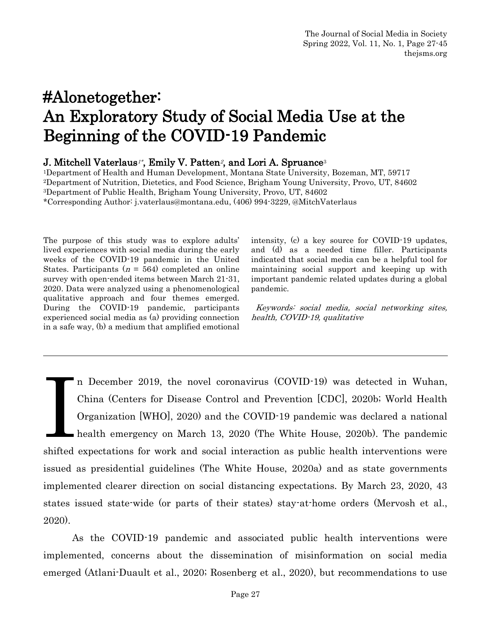# J. Mitchell Vaterlaus<sup>1\*</sup>, Emily V. Patten<sup>2</sup>, and Lori A. Spruance<sup>3</sup>

Department of Health and Human Development, Montana State University, Bozeman, MT, 59717 Department of Nutrition, Dietetics, and Food Science, Brigham Young University, Provo, UT, 84602 Department of Public Health, Brigham Young University, Provo, UT, 84602 \*Corresponding Author: j.vaterlaus@montana.edu, (406) 994-3229, @MitchVaterlaus

The purpose of this study was to explore adults' lived experiences with social media during the early weeks of the COVID-19 pandemic in the United States. Participants ( $n = 564$ ) completed an online survey with open-ended items between March 21-31, 2020. Data were analyzed using a phenomenological qualitative approach and four themes emerged. During the COVID-19 pandemic, participants experienced social media as (a) providing connection in a safe way, (b) a medium that amplified emotional

intensity, (c) a key source for COVID-19 updates, and (d) as a needed time filler. Participants indicated that social media can be a helpful tool for maintaining social support and keeping up with important pandemic related updates during a global pandemic.

 Keywords: social media, social networking sites, health, COVID-19, qualitative

n December 2019, the novel coronavirus (COVID-19) was detected in Wuhan, China (Centers for Disease Control and Prevention [CDC], 2020b; World Health Organization [WHO], 2020) and the COVID-19 pandemic was declared a national health emergency on March 13, 2020 (The White House, 2020b). The pandemic shifted expectations for work and social interaction as public health interventions were issued as presidential guidelines (The White House, 2020a) and as state governments implemented clearer direction on social distancing expectations. By March 23, 2020, 43 states issued state-wide (or parts of their states) stay-at-home orders (Mervosh et al., 2020). **I** 

As the COVID-19 pandemic and associated public health interventions were implemented, concerns about the dissemination of misinformation on social media emerged (Atlani-Duault et al., 2020; Rosenberg et al., 2020), but recommendations to use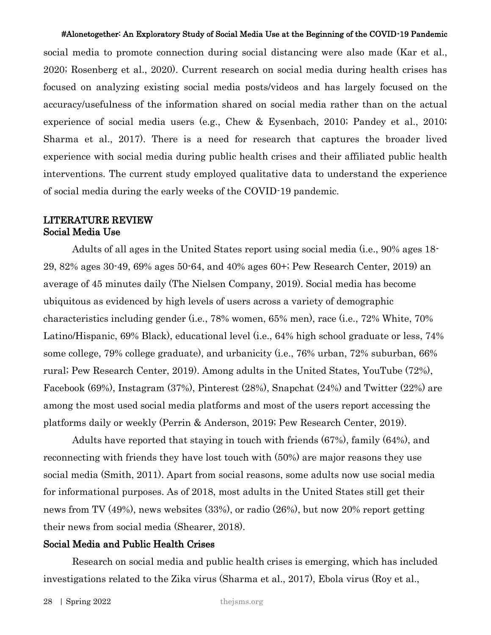social media to promote connection during social distancing were also made (Kar et al., 2020; Rosenberg et al., 2020). Current research on social media during health crises has focused on analyzing existing social media posts/videos and has largely focused on the accuracy/usefulness of the information shared on social media rather than on the actual experience of social media users (e.g., Chew & Eysenbach, 2010; Pandey et al., 2010; Sharma et al., 2017). There is a need for research that captures the broader lived experience with social media during public health crises and their affiliated public health interventions. The current study employed qualitative data to understand the experience of social media during the early weeks of the COVID-19 pandemic.

# LITERATURE REVIEW Social Media Use

Adults of all ages in the United States report using social media (i.e., 90% ages 18- 29, 82% ages 30-49, 69% ages 50-64, and 40% ages 60+; Pew Research Center, 2019) an average of 45 minutes daily (The Nielsen Company, 2019). Social media has become ubiquitous as evidenced by high levels of users across a variety of demographic characteristics including gender (i.e., 78% women, 65% men), race (i.e., 72% White, 70% Latino/Hispanic, 69% Black), educational level (i.e., 64% high school graduate or less, 74% some college, 79% college graduate), and urbanicity (i.e., 76% urban, 72% suburban, 66% rural; Pew Research Center, 2019). Among adults in the United States, YouTube (72%), Facebook (69%), Instagram (37%), Pinterest (28%), Snapchat (24%) and Twitter (22%) are among the most used social media platforms and most of the users report accessing the platforms daily or weekly (Perrin & Anderson, 2019; Pew Research Center, 2019).

Adults have reported that staying in touch with friends (67%), family (64%), and reconnecting with friends they have lost touch with (50%) are major reasons they use social media (Smith, 2011). Apart from social reasons, some adults now use social media for informational purposes. As of 2018, most adults in the United States still get their news from TV (49%), news websites (33%), or radio (26%), but now 20% report getting their news from social media (Shearer, 2018).

#### Social Media and Public Health Crises

Research on social media and public health crises is emerging, which has included investigations related to the Zika virus (Sharma et al., 2017), Ebola virus (Roy et al.,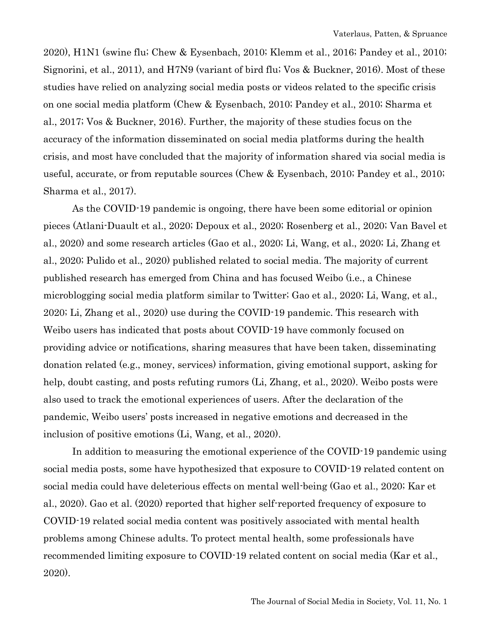2020), H1N1 (swine flu; Chew & Eysenbach, 2010; Klemm et al., 2016; Pandey et al., 2010; Signorini, et al., 2011), and H7N9 (variant of bird flu; Vos & Buckner, 2016). Most of these studies have relied on analyzing social media posts or videos related to the specific crisis on one social media platform (Chew & Eysenbach, 2010; Pandey et al., 2010; Sharma et al., 2017; Vos & Buckner, 2016). Further, the majority of these studies focus on the accuracy of the information disseminated on social media platforms during the health crisis, and most have concluded that the majority of information shared via social media is useful, accurate, or from reputable sources (Chew & Eysenbach, 2010; Pandey et al., 2010; Sharma et al., 2017).

As the COVID-19 pandemic is ongoing, there have been some editorial or opinion pieces (Atlani-Duault et al., 2020; Depoux et al., 2020; Rosenberg et al., 2020; Van Bavel et al., 2020) and some research articles (Gao et al., 2020; Li, Wang, et al., 2020; Li, Zhang et al., 2020; Pulido et al., 2020) published related to social media. The majority of current published research has emerged from China and has focused Weibo (i.e., a Chinese microblogging social media platform similar to Twitter; Gao et al., 2020; Li, Wang, et al., 2020; Li, Zhang et al., 2020) use during the COVID-19 pandemic. This research with Weibo users has indicated that posts about COVID-19 have commonly focused on providing advice or notifications, sharing measures that have been taken, disseminating donation related (e.g., money, services) information, giving emotional support, asking for help, doubt casting, and posts refuting rumors (Li, Zhang, et al., 2020). Weibo posts were also used to track the emotional experiences of users. After the declaration of the pandemic, Weibo users' posts increased in negative emotions and decreased in the inclusion of positive emotions (Li, Wang, et al., 2020).

In addition to measuring the emotional experience of the COVID-19 pandemic using social media posts, some have hypothesized that exposure to COVID-19 related content on social media could have deleterious effects on mental well-being (Gao et al., 2020; Kar et al., 2020). Gao et al. (2020) reported that higher self-reported frequency of exposure to COVID-19 related social media content was positively associated with mental health problems among Chinese adults. To protect mental health, some professionals have recommended limiting exposure to COVID-19 related content on social media (Kar et al., 2020).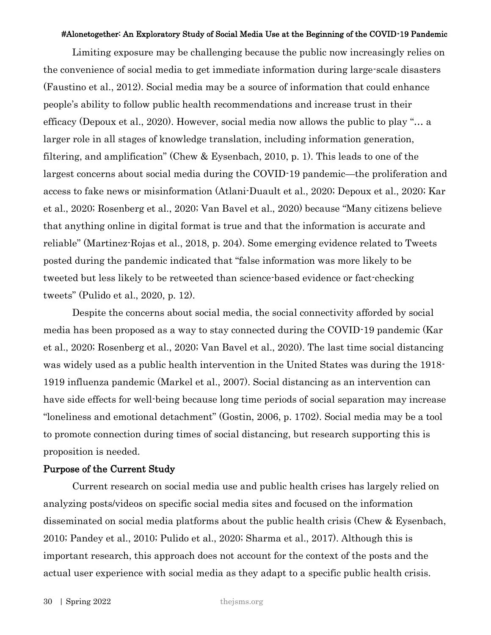Limiting exposure may be challenging because the public now increasingly relies on the convenience of social media to get immediate information during large-scale disasters (Faustino et al., 2012). Social media may be a source of information that could enhance people's ability to follow public health recommendations and increase trust in their efficacy (Depoux et al., 2020). However, social media now allows the public to play "… a larger role in all stages of knowledge translation, including information generation, filtering, and amplification" (Chew & Eysenbach, 2010, p. 1). This leads to one of the largest concerns about social media during the COVID-19 pandemic—the proliferation and access to fake news or misinformation (Atlani-Duault et al., 2020; Depoux et al., 2020; Kar et al., 2020; Rosenberg et al., 2020; Van Bavel et al., 2020) because "Many citizens believe that anything online in digital format is true and that the information is accurate and reliable" (Martinez-Rojas et al., 2018, p. 204). Some emerging evidence related to Tweets posted during the pandemic indicated that "false information was more likely to be tweeted but less likely to be retweeted than science-based evidence or fact-checking tweets" (Pulido et al., 2020, p. 12).

Despite the concerns about social media, the social connectivity afforded by social media has been proposed as a way to stay connected during the COVID-19 pandemic (Kar et al., 2020; Rosenberg et al., 2020; Van Bavel et al., 2020). The last time social distancing was widely used as a public health intervention in the United States was during the 1918- 1919 influenza pandemic (Markel et al., 2007). Social distancing as an intervention can have side effects for well-being because long time periods of social separation may increase "loneliness and emotional detachment" (Gostin, 2006, p. 1702). Social media may be a tool to promote connection during times of social distancing, but research supporting this is proposition is needed.

# Purpose of the Current Study

Current research on social media use and public health crises has largely relied on analyzing posts/videos on specific social media sites and focused on the information disseminated on social media platforms about the public health crisis (Chew & Eysenbach, 2010; Pandey et al., 2010; Pulido et al., 2020; Sharma et al., 2017). Although this is important research, this approach does not account for the context of the posts and the actual user experience with social media as they adapt to a specific public health crisis.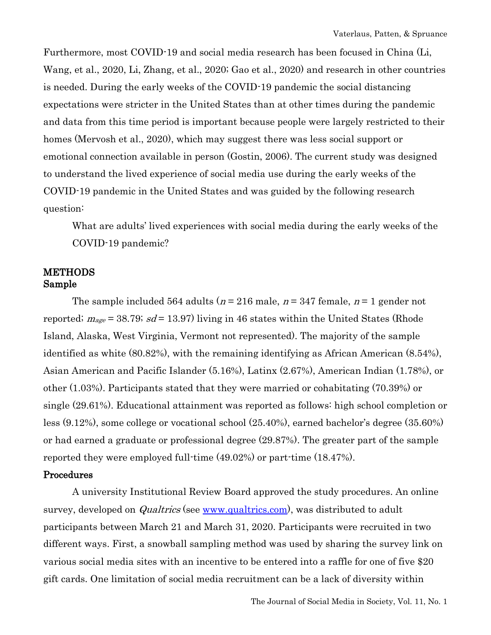Furthermore, most COVID-19 and social media research has been focused in China (Li, Wang, et al., 2020, Li, Zhang, et al., 2020; Gao et al., 2020) and research in other countries is needed. During the early weeks of the COVID-19 pandemic the social distancing expectations were stricter in the United States than at other times during the pandemic and data from this time period is important because people were largely restricted to their homes (Mervosh et al., 2020), which may suggest there was less social support or emotional connection available in person (Gostin, 2006). The current study was designed to understand the lived experience of social media use during the early weeks of the COVID-19 pandemic in the United States and was guided by the following research question:

What are adults' lived experiences with social media during the early weeks of the COVID-19 pandemic?

# **METHODS** Sample

The sample included 564 adults ( $n = 216$  male,  $n = 347$  female,  $n = 1$  gender not reported;  $m_{\text{age}} = 38.79$ ; sd = 13.97) living in 46 states within the United States (Rhode Island, Alaska, West Virginia, Vermont not represented). The majority of the sample identified as white (80.82%), with the remaining identifying as African American (8.54%), Asian American and Pacific Islander (5.16%), Latinx (2.67%), American Indian (1.78%), or other (1.03%). Participants stated that they were married or cohabitating (70.39%) or single (29.61%). Educational attainment was reported as follows: high school completion or less (9.12%), some college or vocational school (25.40%), earned bachelor's degree (35.60%) or had earned a graduate or professional degree (29.87%). The greater part of the sample reported they were employed full-time (49.02%) or part-time (18.47%).

## Procedures

A university Institutional Review Board approved the study procedures. An online survey, developed on *Qualtrics* (see [www.qualtrics.com\)](http://www.qualtrics.com/), was distributed to adult participants between March 21 and March 31, 2020. Participants were recruited in two different ways. First, a snowball sampling method was used by sharing the survey link on various social media sites with an incentive to be entered into a raffle for one of five \$20 gift cards. One limitation of social media recruitment can be a lack of diversity within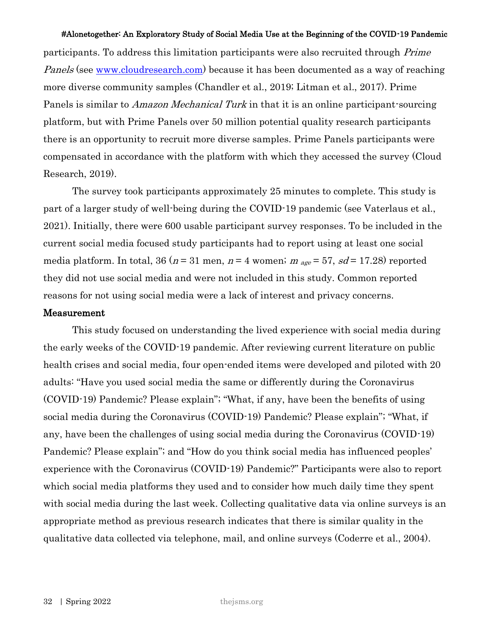participants. To address this limitation participants were also recruited through Prime *Panels* (see <u>www.cloudresearch.com</u>) because it has been documented as a way of reaching more diverse community samples (Chandler et al., 2019; Litman et al., 2017). Prime Panels is similar to *Amazon Mechanical Turk* in that it is an online participant-sourcing platform, but with Prime Panels over 50 million potential quality research participants there is an opportunity to recruit more diverse samples. Prime Panels participants were compensated in accordance with the platform with which they accessed the survey (Cloud Research, 2019).

The survey took participants approximately 25 minutes to complete. This study is part of a larger study of well-being during the COVID-19 pandemic (see Vaterlaus et al., 2021). Initially, there were 600 usable participant survey responses. To be included in the current social media focused study participants had to report using at least one social media platform. In total, 36 ( $n = 31$  men,  $n = 4$  women;  $m_{age} = 57$ ,  $sd = 17.28$ ) reported they did not use social media and were not included in this study. Common reported reasons for not using social media were a lack of interest and privacy concerns.

## Measurement

This study focused on understanding the lived experience with social media during the early weeks of the COVID-19 pandemic. After reviewing current literature on public health crises and social media, four open-ended items were developed and piloted with 20 adults: "Have you used social media the same or differently during the Coronavirus (COVID-19) Pandemic? Please explain"; "What, if any, have been the benefits of using social media during the Coronavirus (COVID-19) Pandemic? Please explain"; "What, if any, have been the challenges of using social media during the Coronavirus (COVID-19) Pandemic? Please explain"; and "How do you think social media has influenced peoples' experience with the Coronavirus (COVID-19) Pandemic?" Participants were also to report which social media platforms they used and to consider how much daily time they spent with social media during the last week. Collecting qualitative data via online surveys is an appropriate method as previous research indicates that there is similar quality in the qualitative data collected via telephone, mail, and online surveys (Coderre et al., 2004).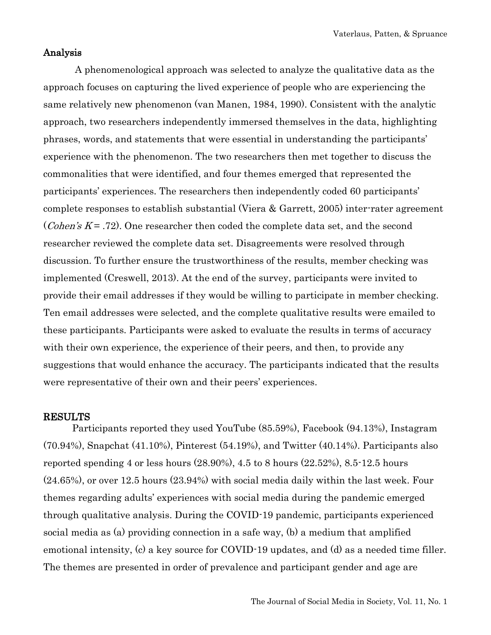# Analysis

 A phenomenological approach was selected to analyze the qualitative data as the approach focuses on capturing the lived experience of people who are experiencing the same relatively new phenomenon (van Manen, 1984, 1990). Consistent with the analytic approach, two researchers independently immersed themselves in the data, highlighting phrases, words, and statements that were essential in understanding the participants' experience with the phenomenon. The two researchers then met together to discuss the commonalities that were identified, and four themes emerged that represented the participants' experiences. The researchers then independently coded 60 participants' complete responses to establish substantial (Viera & Garrett, 2005) inter-rater agreement (*Cohen's K* = .72). One researcher then coded the complete data set, and the second researcher reviewed the complete data set. Disagreements were resolved through discussion. To further ensure the trustworthiness of the results, member checking was implemented (Creswell, 2013). At the end of the survey, participants were invited to provide their email addresses if they would be willing to participate in member checking. Ten email addresses were selected, and the complete qualitative results were emailed to these participants. Participants were asked to evaluate the results in terms of accuracy with their own experience, the experience of their peers, and then, to provide any suggestions that would enhance the accuracy. The participants indicated that the results were representative of their own and their peers' experiences.

## RESULTS

Participants reported they used YouTube (85.59%), Facebook (94.13%), Instagram (70.94%), Snapchat (41.10%), Pinterest (54.19%), and Twitter (40.14%). Participants also reported spending 4 or less hours (28.90%), 4.5 to 8 hours (22.52%), 8.5-12.5 hours (24.65%), or over 12.5 hours (23.94%) with social media daily within the last week. Four themes regarding adults' experiences with social media during the pandemic emerged through qualitative analysis. During the COVID-19 pandemic, participants experienced social media as (a) providing connection in a safe way, (b) a medium that amplified emotional intensity, (c) a key source for COVID-19 updates, and (d) as a needed time filler. The themes are presented in order of prevalence and participant gender and age are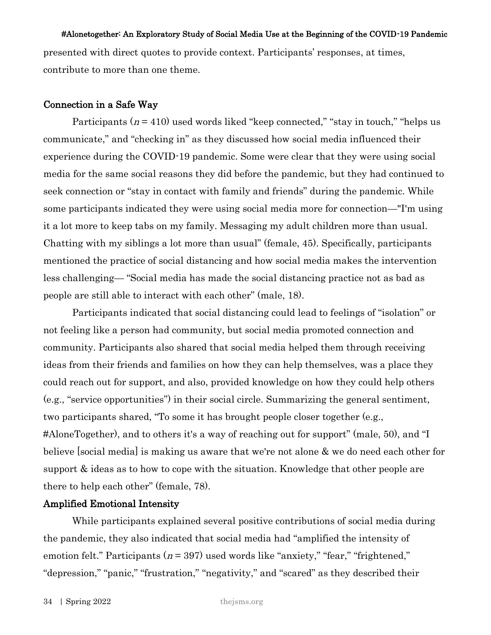presented with direct quotes to provide context. Participants' responses, at times, contribute to more than one theme.

#### Connection in a Safe Way

Participants  $(n = 410)$  used words liked "keep connected," "stay in touch," "helps us communicate," and "checking in" as they discussed how social media influenced their experience during the COVID-19 pandemic. Some were clear that they were using social media for the same social reasons they did before the pandemic, but they had continued to seek connection or "stay in contact with family and friends" during the pandemic. While some participants indicated they were using social media more for connection—"I'm using it a lot more to keep tabs on my family. Messaging my adult children more than usual. Chatting with my siblings a lot more than usual" (female, 45). Specifically, participants mentioned the practice of social distancing and how social media makes the intervention less challenging— "Social media has made the social distancing practice not as bad as people are still able to interact with each other" (male, 18).

Participants indicated that social distancing could lead to feelings of "isolation" or not feeling like a person had community, but social media promoted connection and community. Participants also shared that social media helped them through receiving ideas from their friends and families on how they can help themselves, was a place they could reach out for support, and also, provided knowledge on how they could help others (e.g., "service opportunities") in their social circle. Summarizing the general sentiment, two participants shared, "To some it has brought people closer together (e.g., #AloneTogether), and to others it's a way of reaching out for support" (male, 50), and "I believe [social media] is making us aware that we're not alone & we do need each other for support & ideas as to how to cope with the situation. Knowledge that other people are there to help each other" (female, 78).

## Amplified Emotional Intensity

While participants explained several positive contributions of social media during the pandemic, they also indicated that social media had "amplified the intensity of emotion felt." Participants ( $n = 397$ ) used words like "anxiety," "fear," "frightened," "depression," "panic," "frustration," "negativity," and "scared" as they described their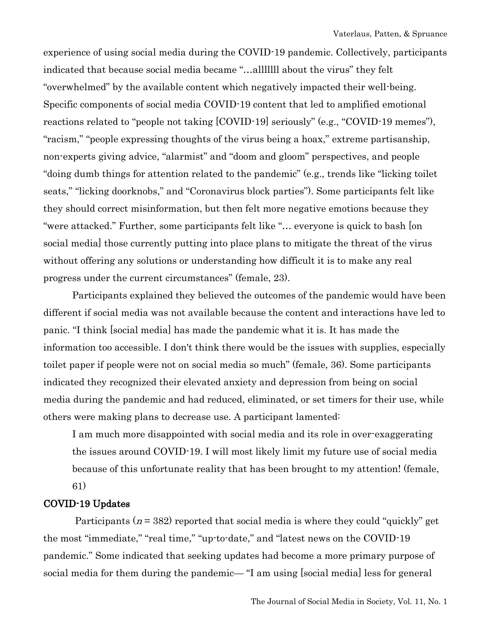experience of using social media during the COVID-19 pandemic. Collectively, participants indicated that because social media became "…alllllll about the virus" they felt "overwhelmed" by the available content which negatively impacted their well-being. Specific components of social media COVID-19 content that led to amplified emotional reactions related to "people not taking [COVID-19] seriously" (e.g., "COVID-19 memes"), "racism," "people expressing thoughts of the virus being a hoax," extreme partisanship, non-experts giving advice, "alarmist" and "doom and gloom" perspectives, and people "doing dumb things for attention related to the pandemic" (e.g., trends like "licking toilet seats," "licking doorknobs," and "Coronavirus block parties"). Some participants felt like they should correct misinformation, but then felt more negative emotions because they "were attacked." Further, some participants felt like "… everyone is quick to bash [on social media] those currently putting into place plans to mitigate the threat of the virus without offering any solutions or understanding how difficult it is to make any real progress under the current circumstances" (female, 23).

Participants explained they believed the outcomes of the pandemic would have been different if social media was not available because the content and interactions have led to panic. "I think [social media] has made the pandemic what it is. It has made the information too accessible. I don't think there would be the issues with supplies, especially toilet paper if people were not on social media so much" (female, 36). Some participants indicated they recognized their elevated anxiety and depression from being on social media during the pandemic and had reduced, eliminated, or set timers for their use, while others were making plans to decrease use. A participant lamented:

I am much more disappointed with social media and its role in over-exaggerating the issues around COVID-19. I will most likely limit my future use of social media because of this unfortunate reality that has been brought to my attention! (female, 61)

# COVID-19 Updates

Participants ( $n = 382$ ) reported that social media is where they could "quickly" get the most "immediate," "real time," "up-to-date," and "latest news on the COVID-19 pandemic." Some indicated that seeking updates had become a more primary purpose of social media for them during the pandemic— "I am using [social media] less for general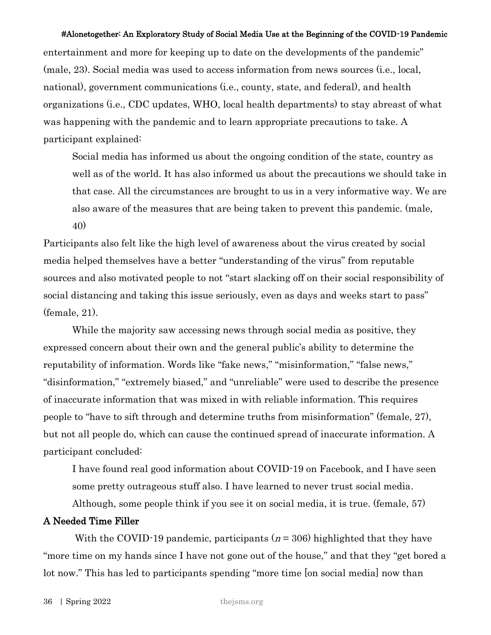entertainment and more for keeping up to date on the developments of the pandemic" (male, 23). Social media was used to access information from news sources (i.e., local, national), government communications (i.e., county, state, and federal), and health organizations (i.e., CDC updates, WHO, local health departments) to stay abreast of what was happening with the pandemic and to learn appropriate precautions to take. A participant explained:

Social media has informed us about the ongoing condition of the state, country as well as of the world. It has also informed us about the precautions we should take in that case. All the circumstances are brought to us in a very informative way. We are also aware of the measures that are being taken to prevent this pandemic. (male, 40)

Participants also felt like the high level of awareness about the virus created by social media helped themselves have a better "understanding of the virus" from reputable sources and also motivated people to not "start slacking off on their social responsibility of social distancing and taking this issue seriously, even as days and weeks start to pass" (female, 21).

While the majority saw accessing news through social media as positive, they expressed concern about their own and the general public's ability to determine the reputability of information. Words like "fake news," "misinformation," "false news," "disinformation," "extremely biased," and "unreliable" were used to describe the presence of inaccurate information that was mixed in with reliable information. This requires people to "have to sift through and determine truths from misinformation" (female, 27), but not all people do, which can cause the continued spread of inaccurate information. A participant concluded:

I have found real good information about COVID-19 on Facebook, and I have seen some pretty outrageous stuff also. I have learned to never trust social media.

Although, some people think if you see it on social media, it is true. (female, 57)

# A Needed Time Filler

With the COVID-19 pandemic, participants ( $n = 306$ ) highlighted that they have "more time on my hands since I have not gone out of the house," and that they "get bored a lot now." This has led to participants spending "more time [on social media] now than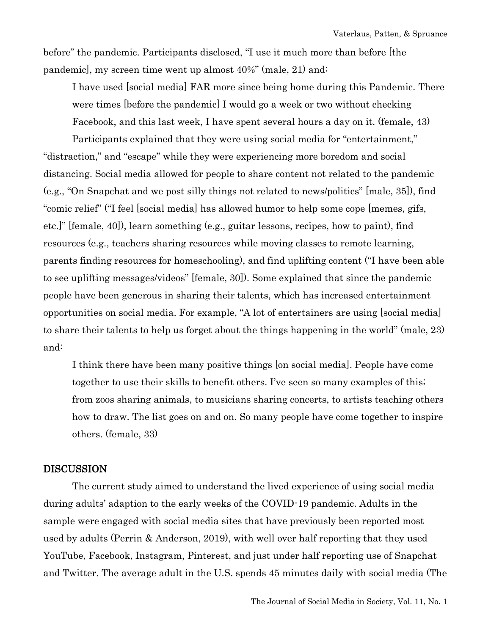before" the pandemic. Participants disclosed, "I use it much more than before [the pandemic], my screen time went up almost 40%" (male, 21) and:

I have used [social media] FAR more since being home during this Pandemic. There were times [before the pandemic] I would go a week or two without checking Facebook, and this last week, I have spent several hours a day on it. (female, 43)

Participants explained that they were using social media for "entertainment," "distraction," and "escape" while they were experiencing more boredom and social distancing. Social media allowed for people to share content not related to the pandemic (e.g., "On Snapchat and we post silly things not related to news/politics" [male, 35]), find "comic relief" ("I feel [social media] has allowed humor to help some cope [memes, gifs, etc.]" [female, 40]), learn something (e.g., guitar lessons, recipes, how to paint), find resources (e.g., teachers sharing resources while moving classes to remote learning, parents finding resources for homeschooling), and find uplifting content ("I have been able to see uplifting messages/videos" [female, 30]). Some explained that since the pandemic people have been generous in sharing their talents, which has increased entertainment opportunities on social media. For example, "A lot of entertainers are using [social media] to share their talents to help us forget about the things happening in the world" (male, 23) and:

I think there have been many positive things [on social media]. People have come together to use their skills to benefit others. I've seen so many examples of this; from zoos sharing animals, to musicians sharing concerts, to artists teaching others how to draw. The list goes on and on. So many people have come together to inspire others. (female, 33)

## **DISCUSSION**

The current study aimed to understand the lived experience of using social media during adults' adaption to the early weeks of the COVID-19 pandemic. Adults in the sample were engaged with social media sites that have previously been reported most used by adults (Perrin & Anderson, 2019), with well over half reporting that they used YouTube, Facebook, Instagram, Pinterest, and just under half reporting use of Snapchat and Twitter. The average adult in the U.S. spends 45 minutes daily with social media (The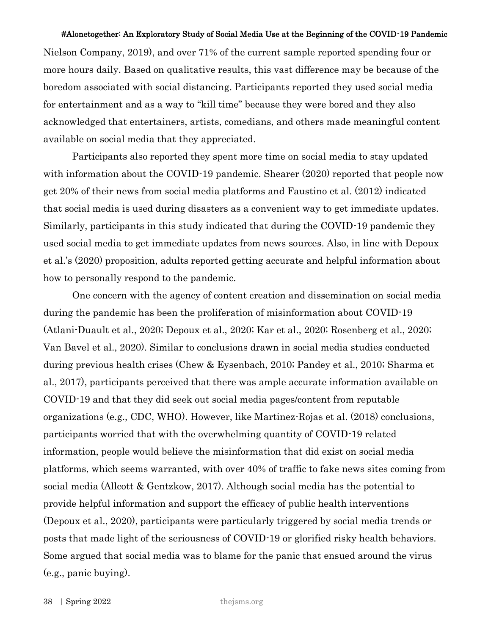Nielson Company, 2019), and over 71% of the current sample reported spending four or more hours daily. Based on qualitative results, this vast difference may be because of the boredom associated with social distancing. Participants reported they used social media for entertainment and as a way to "kill time" because they were bored and they also acknowledged that entertainers, artists, comedians, and others made meaningful content available on social media that they appreciated.

Participants also reported they spent more time on social media to stay updated with information about the COVID-19 pandemic. Shearer (2020) reported that people now get 20% of their news from social media platforms and Faustino et al. (2012) indicated that social media is used during disasters as a convenient way to get immediate updates. Similarly, participants in this study indicated that during the COVID-19 pandemic they used social media to get immediate updates from news sources. Also, in line with Depoux et al.'s (2020) proposition, adults reported getting accurate and helpful information about how to personally respond to the pandemic.

One concern with the agency of content creation and dissemination on social media during the pandemic has been the proliferation of misinformation about COVID-19 (Atlani-Duault et al., 2020; Depoux et al., 2020; Kar et al., 2020; Rosenberg et al., 2020; Van Bavel et al., 2020). Similar to conclusions drawn in social media studies conducted during previous health crises (Chew & Eysenbach, 2010; Pandey et al., 2010; Sharma et al., 2017), participants perceived that there was ample accurate information available on COVID-19 and that they did seek out social media pages/content from reputable organizations (e.g., CDC, WHO). However, like Martinez-Rojas et al. (2018) conclusions, participants worried that with the overwhelming quantity of COVID-19 related information, people would believe the misinformation that did exist on social media platforms, which seems warranted, with over 40% of traffic to fake news sites coming from social media (Allcott & Gentzkow, 2017). Although social media has the potential to provide helpful information and support the efficacy of public health interventions (Depoux et al., 2020), participants were particularly triggered by social media trends or posts that made light of the seriousness of COVID-19 or glorified risky health behaviors. Some argued that social media was to blame for the panic that ensued around the virus (e.g., panic buying).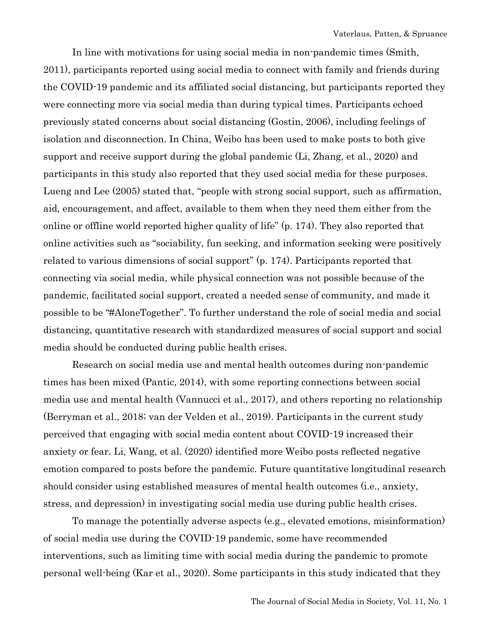In line with motivations for using social media in non-pandemic times (Smith, 2011), participants reported using social media to connect with family and friends during the COVID-19 pandemic and its affiliated social distancing, but participants reported they were connecting more via social media than during typical times. Participants echoed previously stated concerns about social distancing (Gostin, 2006), including feelings of isolation and disconnection. In China, Weibo has been used to make posts to both give support and receive support during the global pandemic (Li, Zhang, et al., 2020) and participants in this study also reported that they used social media for these purposes. Lueng and Lee (2005) stated that, "people with strong social support, such as affirmation, aid, encouragement, and affect, available to them when they need them either from the online or offline world reported higher quality of life" (p. 174). They also reported that online activities such as "sociability, fun seeking, and information seeking were positively related to various dimensions of social support" (p. 174). Participants reported that connecting via social media, while physical connection was not possible because of the pandemic, facilitated social support, created a needed sense of community, and made it possible to be "#AloneTogether". To further understand the role of social media and social distancing, quantitative research with standardized measures of social support and social media should be conducted during public health crises.

Research on social media use and mental health outcomes during non-pandemic times has been mixed (Pantic, 2014), with some reporting connections between social media use and mental health (Vannucci et al., 2017), and others reporting no relationship (Berryman et al., 2018; van der Velden et al., 2019). Participants in the current study perceived that engaging with social media content about COVID-19 increased their anxiety or fear. Li, Wang, et al. (2020) identified more Weibo posts reflected negative emotion compared to posts before the pandemic. Future quantitative longitudinal research should consider using established measures of mental health outcomes (i.e., anxiety, stress, and depression) in investigating social media use during public health crises.

To manage the potentially adverse aspects (e.g., elevated emotions, misinformation) of social media use during the COVID-19 pandemic, some have recommended interventions, such as limiting time with social media during the pandemic to promote personal well-being (Kar et al., 2020). Some participants in this study indicated that they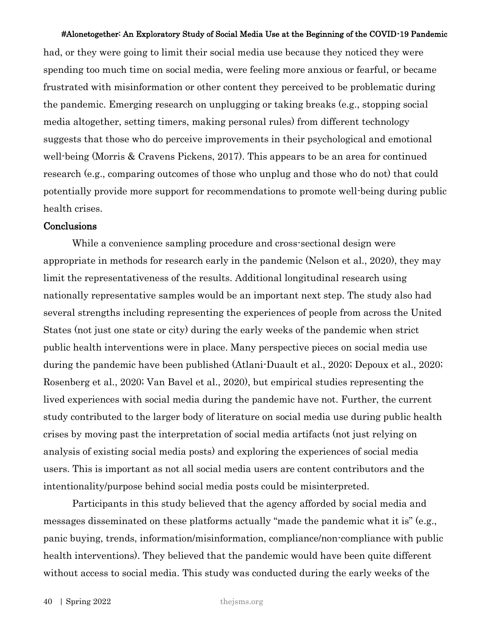had, or they were going to limit their social media use because they noticed they were spending too much time on social media, were feeling more anxious or fearful, or became frustrated with misinformation or other content they perceived to be problematic during the pandemic. Emerging research on unplugging or taking breaks (e.g., stopping social media altogether, setting timers, making personal rules) from different technology suggests that those who do perceive improvements in their psychological and emotional well-being (Morris & Cravens Pickens, 2017). This appears to be an area for continued research (e.g., comparing outcomes of those who unplug and those who do not) that could potentially provide more support for recommendations to promote well-being during public health crises.

# Conclusions

While a convenience sampling procedure and cross-sectional design were appropriate in methods for research early in the pandemic (Nelson et al., 2020), they may limit the representativeness of the results. Additional longitudinal research using nationally representative samples would be an important next step. The study also had several strengths including representing the experiences of people from across the United States (not just one state or city) during the early weeks of the pandemic when strict public health interventions were in place. Many perspective pieces on social media use during the pandemic have been published (Atlani-Duault et al., 2020; Depoux et al., 2020; Rosenberg et al., 2020; Van Bavel et al., 2020), but empirical studies representing the lived experiences with social media during the pandemic have not. Further, the current study contributed to the larger body of literature on social media use during public health crises by moving past the interpretation of social media artifacts (not just relying on analysis of existing social media posts) and exploring the experiences of social media users. This is important as not all social media users are content contributors and the intentionality/purpose behind social media posts could be misinterpreted.

Participants in this study believed that the agency afforded by social media and messages disseminated on these platforms actually "made the pandemic what it is" (e.g., panic buying, trends, information/misinformation, compliance/non-compliance with public health interventions). They believed that the pandemic would have been quite different without access to social media. This study was conducted during the early weeks of the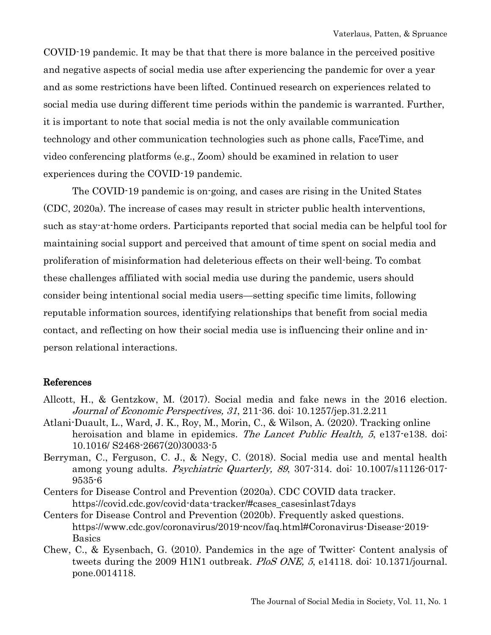COVID-19 pandemic. It may be that that there is more balance in the perceived positive and negative aspects of social media use after experiencing the pandemic for over a year and as some restrictions have been lifted. Continued research on experiences related to social media use during different time periods within the pandemic is warranted. Further, it is important to note that social media is not the only available communication technology and other communication technologies such as phone calls, FaceTime, and video conferencing platforms (e.g., Zoom) should be examined in relation to user experiences during the COVID-19 pandemic.

The COVID-19 pandemic is on-going, and cases are rising in the United States (CDC, 2020a). The increase of cases may result in stricter public health interventions, such as stay-at-home orders. Participants reported that social media can be helpful tool for maintaining social support and perceived that amount of time spent on social media and proliferation of misinformation had deleterious effects on their well-being. To combat these challenges affiliated with social media use during the pandemic, users should consider being intentional social media users—setting specific time limits, following reputable information sources, identifying relationships that benefit from social media contact, and reflecting on how their social media use is influencing their online and inperson relational interactions.

## References

- Allcott, H., & Gentzkow, M. (2017). Social media and fake news in the 2016 election. Journal of Economic Perspectives, 31, 211-36. doi: 10.1257/jep.31.2.211
- Atlani-Duault, L., Ward, J. K., Roy, M., Morin, C., & Wilson, A. (2020). Tracking online heroisation and blame in epidemics. The Lancet Public Health, 5, e137-e138. doi: 10.1016/ S2468-2667(20)30033-5
- Berryman, C., Ferguson, C. J., & Negy, C. (2018). Social media use and mental health among young adults. *Psychiatric Quarterly, 89*, 307-314. doi: 10.1007/s11126-017-9535-6
- Centers for Disease Control and Prevention (2020a). CDC COVID data tracker. https://covid.cdc.gov/covid-data-tracker/#cases\_casesinlast7days
- Centers for Disease Control and Prevention (2020b). Frequently asked questions. https://www.cdc.gov/coronavirus/2019-ncov/faq.html#Coronavirus-Disease-2019- Basics
- Chew, C., & Eysenbach, G. (2010). Pandemics in the age of Twitter: Content analysis of tweets during the 2009 H1N1 outbreak. PloS ONE, 5, e14118. doi: 10.1371/journal. pone.0014118.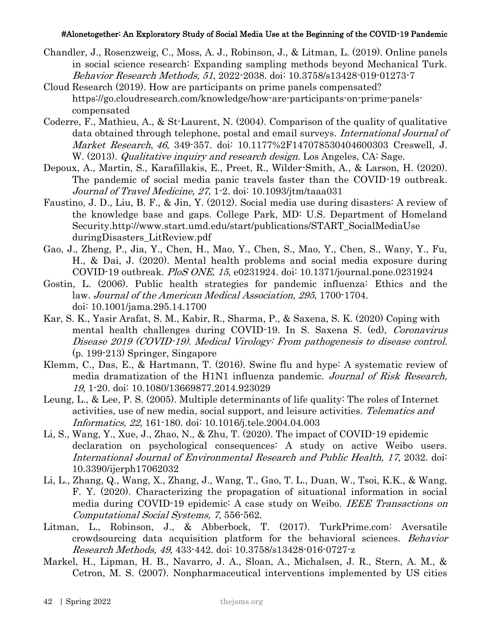- Chandler, J., Rosenzweig, C., Moss, A. J., Robinson, J., & Litman, L. (2019). Online panels in social science research: Expanding sampling methods beyond Mechanical Turk. Behavior Research Methods, 51, 2022-2038. doi: 10.3758/s13428-019-01273-7
- Cloud Research (2019). How are participants on prime panels compensated? https://go.cloudresearch.com/knowledge/how-are-participants-on-prime-panelscompensated
- Coderre, F., Mathieu, A., & St-Laurent, N. (2004). Comparison of the quality of qualitative data obtained through telephone, postal and email surveys. International Journal of Market Research, 46, 349-357. doi: 10.1177%2F147078530404600303 Creswell, J. W. (2013). *Qualitative inquiry and research design*. Los Angeles, CA: Sage.
- Depoux, A., Martin, S., Karafillakis, E., Preet, R., Wilder-Smith, A., & Larson, H. (2020). The pandemic of social media panic travels faster than the COVID-19 outbreak. Journal of Travel Medicine, 27, 1-2. doi: 10.1093/jtm/taaa031
- Faustino, J. D., Liu, B. F., & Jin, Y. (2012). Social media use during disasters: A review of the knowledge base and gaps. College Park, MD: U.S. Department of Homeland Security.http://www.start.umd.edu/start/publications/START\_SocialMediaUse duringDisasters\_LitReview.pdf
- Gao, J., Zheng, P., Jia, Y., Chen, H., Mao, Y., Chen, S., Mao, Y., Chen, S., Wany, Y., Fu, H., & Dai, J. (2020). Mental health problems and social media exposure during COVID-19 outbreak. PloS ONE, 15, e0231924. doi: 10.1371/journal.pone.0231924
- Gostin, L. (2006). Public health strategies for pandemic influenza: Ethics and the law. Journal of the American Medical Association, 295, 1700-1704. doi: 10.1001/jama.295.14.1700
- Kar, S. K., Yasir Arafat, S. M., Kabir, R., Sharma, P., & Saxena, S. K. (2020) Coping with mental health challenges during COVID-19. In S. Saxena S. (ed), Coronavirus Disease 2019 (COVID-19). Medical Virology: From pathogenesis to disease control. (p. 199-213) Springer, Singapore
- Klemm, C., Das, E., & Hartmann, T. (2016). Swine flu and hype: A systematic review of media dramatization of the H1N1 influenza pandemic. Journal of Risk Research, 19, 1-20. doi: 10.1080/13669877.2014.923029
- Leung, L., & Lee, P. S. (2005). Multiple determinants of life quality: The roles of Internet activities, use of new media, social support, and leisure activities. Telematics and Informatics, 22, 161-180. doi: 10.1016/j.tele.2004.04.003
- Li, S., Wang, Y., Xue, J., Zhao, N., & Zhu, T. (2020). The impact of COVID-19 epidemic declaration on psychological consequences: A study on active Weibo users. International Journal of Environmental Research and Public Health, 17, 2032. doi: 10.3390/ijerph17062032
- Li, L., Zhang, Q., Wang, X., Zhang, J., Wang, T., Gao, T. L., Duan, W., Tsoi, K.K., & Wang, F. Y. (2020). Characterizing the propagation of situational information in social media during COVID-19 epidemic: A case study on Weibo. IEEE Transactions on Computational Social Systems, 7, 556-562.
- Litman, L., Robinson, J., & Abberbock, T. (2017). TurkPrime.com: Aversatile crowdsourcing data acquisition platform for the behavioral sciences. Behavior Research Methods, 49, 433-442. doi: 10.3758/s13428-016-0727-z
- Markel, H., Lipman, H. B., Navarro, J. A., Sloan, A., Michalsen, J. R., Stern, A. M., & Cetron, M. S. (2007). Nonpharmaceutical interventions implemented by US cities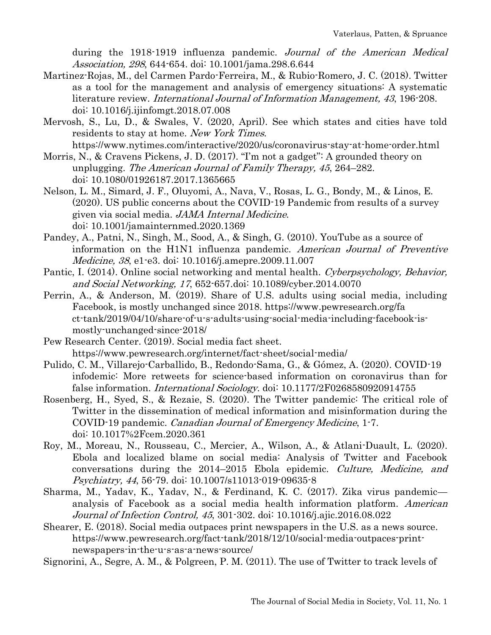during the 1918-1919 influenza pandemic. Journal of the American Medical Association, 298, 644-654. doi: 10.1001/jama.298.6.644

- Martinez-Rojas, M., del Carmen Pardo-Ferreira, M., & Rubio-Romero, J. C. (2018). Twitter as a tool for the management and analysis of emergency situations: A systematic literature review. International Journal of Information Management, 43, 196-208. doi: 10.1016/j.ijinfomgt.2018.07.008
- Mervosh, S., Lu, D., & Swales, V. (2020, April). See which states and cities have told residents to stay at home. New York Times.

https://www.nytimes.com/interactive/2020/us/coronavirus-stay-at-home-order.html

- Morris, N., & Cravens Pickens, J. D. (2017). "I'm not a gadget": A grounded theory on unplugging. The American Journal of Family Therapy, 45, 264–282. doi: 10.1080/01926187.2017.1365665
- Nelson, L. M., Simard, J. F., Oluyomi, A., Nava, V., Rosas, L. G., Bondy, M., & Linos, E. (2020). US public concerns about the COVID-19 Pandemic from results of a survey given via social media. JAMA Internal Medicine. doi: 10.1001/jamainternmed.2020.1369
- Pandey, A., Patni, N., Singh, M., Sood, A., & Singh, G. (2010). YouTube as a source of information on the H1N1 influenza pandemic. American Journal of Preventive Medicine, 38, e1-e3. doi: 10.1016/j.amepre.2009.11.007
- Pantic, I. (2014). Online social networking and mental health. Cyberpsychology, Behavior, and Social Networking, 17, 652-657.doi: 10.1089/cyber.2014.0070
- Perrin, A., & Anderson, M. (2019). Share of U.S. adults using social media, including Facebook, is mostly unchanged since 2018. https://www.pewresearch.org/fa ct-tank/2019/04/10/share-of-u-s-adults-using-social-media-including-facebook-ismostly-unchanged-since-2018/
- Pew Research Center. (2019). Social media fact sheet. https://www.pewresearch.org/internet/fact-sheet/social-media/
- Pulido, C. M., Villarejo-Carballido, B., Redondo-Sama, G., & Gómez, A. (2020). COVID-19 infodemic: More retweets for science-based information on coronavirus than for false information. *International Sociology*. doi: 10.1177/2F0268580920914755
- Rosenberg, H., Syed, S., & Rezaie, S. (2020). The Twitter pandemic: The critical role of Twitter in the dissemination of medical information and misinformation during the COVID-19 pandemic. Canadian Journal of Emergency Medicine, 1-7. doi: 10.1017%2Fcem.2020.361
- Roy, M., Moreau, N., Rousseau, C., Mercier, A., Wilson, A., & Atlani-Duault, L. (2020). Ebola and localized blame on social media: Analysis of Twitter and Facebook conversations during the 2014–2015 Ebola epidemic. Culture, Medicine, and Psychiatry, 44, 56-79. doi: 10.1007/s11013-019-09635-8
- Sharma, M., Yadav, K., Yadav, N., & Ferdinand, K. C. (2017). Zika virus pandemic analysis of Facebook as a social media health information platform. American Journal of Infection Control, 45, 301-302. doi: 10.1016/j.ajic.2016.08.022
- Shearer, E. (2018). Social media outpaces print newspapers in the U.S. as a news source. https://www.pewresearch.org/fact-tank/2018/12/10/social-media-outpaces-printnewspapers-in-the-u-s-as-a-news-source/
- Signorini, A., Segre, A. M., & Polgreen, P. M. (2011). The use of Twitter to track levels of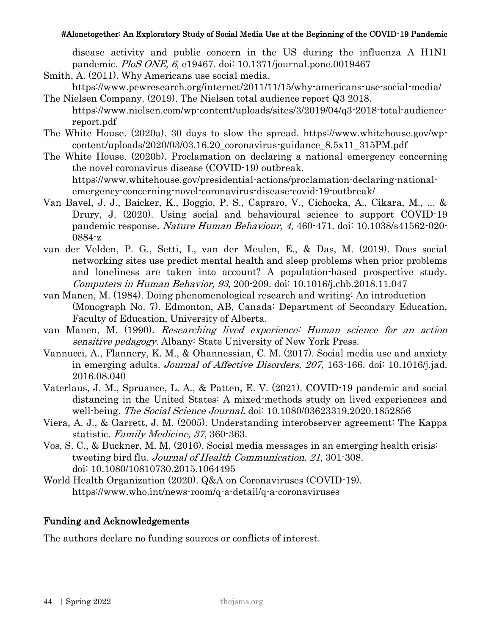disease activity and public concern in the US during the influenza A H1N1 pandemic. PloS ONE, 6, e19467. doi: 10.1371/journal.pone.0019467

- Smith, A. (2011). Why Americans use social media.
- https://www.pewresearch.org/internet/2011/11/15/why-americans-use-social-media/ The Nielsen Company. (2019). The Nielsen total audience report Q3 2018.
- https://www.nielsen.com/wp-content/uploads/sites/3/2019/04/q3-2018-total-audiencereport.pdf
- The White House. (2020a). 30 days to slow the spread. https://www.whitehouse.gov/wpcontent/uploads/2020/03/03.16.20\_coronavirus-guidance\_8.5x11\_315PM.pdf
- The White House. (2020b). Proclamation on declaring a national emergency concerning the novel coronavirus disease (COVID-19) outbreak. https://www.whitehouse.gov/presidential-actions/proclamation-declaring-nationalemergency-concerning-novel-coronavirus-disease-covid-19-outbreak/
- Van Bavel, J. J., Baicker, K., Boggio, P. S., Capraro, V., Cichocka, A., Cikara, M., ... & Drury, J. (2020). Using social and behavioural science to support COVID-19 pandemic response. Nature Human Behaviour, 4, 460-471. doi: 10.1038/s41562-020- 0884-z
- van der Velden, P. G., Setti, I., van der Meulen, E., & Das, M. (2019). Does social networking sites use predict mental health and sleep problems when prior problems and loneliness are taken into account? A population-based prospective study. Computers in Human Behavior, 93, 200-209. doi: 10.1016/j.chb.2018.11.047
- van Manen, M. (1984). Doing phenomenological research and writing: An introduction (Monograph No. 7). Edmonton, AB, Canada: Department of Secondary Education, Faculty of Education, University of Alberta.
- van Manen, M. (1990). Researching lived experience: Human science for an action sensitive pedagogy. Albany: State University of New York Press.
- Vannucci, A., Flannery, K. M., & Ohannessian, C. M. (2017). Social media use and anxiety in emerging adults. Journal of Affective Disorders, 207, 163-166. doi: 10.1016/j.jad. 2016.08.040
- Vaterlaus, J. M., Spruance, L. A., & Patten, E. V. (2021). COVID-19 pandemic and social distancing in the United States: A mixed-methods study on lived experiences and well-being. *The Social Science Journal*, doi: 10.1080/03623319.2020.1852856
- Viera, A. J., & Garrett, J. M. (2005). Understanding interobserver agreement: The Kappa statistic. Family Medicine, 37, 360-363.
- Vos, S. C., & Buckner, M. M. (2016). Social media messages in an emerging health crisis: tweeting bird flu. Journal of Health Communication, 21, 301-308. doi: 10.1080/10810730.2015.1064495
- World Health Organization (2020). Q&A on Coronaviruses (COVID-19). https://www.who.int/news-room/q-a-detail/q-a-coronaviruses

# Funding and Acknowledgements

The authors declare no funding sources or conflicts of interest.